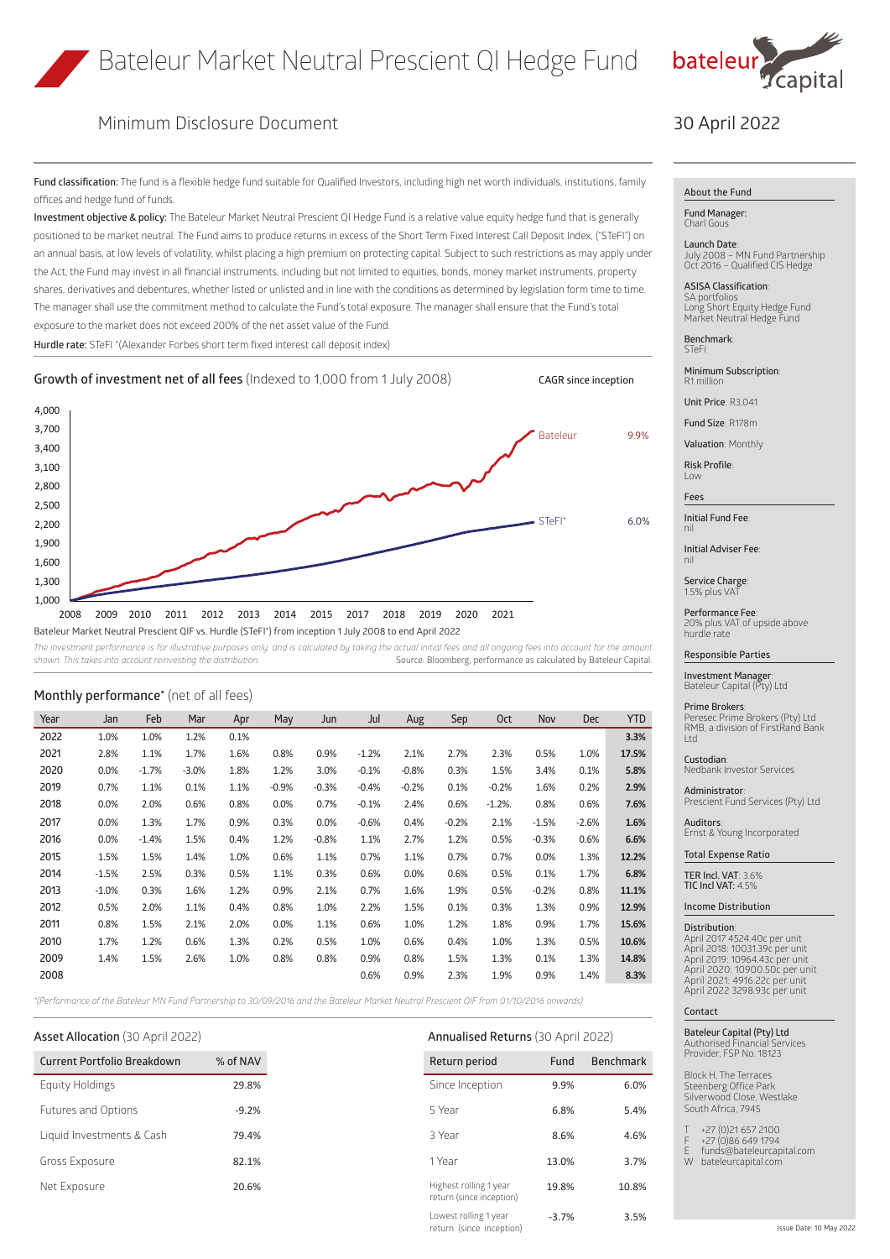

# Minimum Disclosure Document

**Fund classification:** The fund is a flexible hedge fund suitable for Qualified Investors, including high net worth individuals, institutions, family offices and hedge fund of funds.

**Investment objective & policy:** The Bateleur Market Neutral Prescient QI Hedge Fund is a relative value equity hedge fund that is generally positioned to be market neutral. The Fund aims to produce returns in excess of the Short Term Fixed Interest Call Deposit Index, ("STeFI") on an annual basis, at low levels of volatility, whilst placing a high premium on protecting capital. Subject to such restrictions as may apply under the Act, the Fund may invest in all financial instruments, including but not limited to equities, bonds, money market instruments, property shares, derivatives and debentures, whether listed or unlisted and in line with the conditions as determined by legislation form time to time. The manager shall use the commitment method to calculate the Fund's total exposure. The manager shall ensure that the Fund's total exposure to the market does not exceed 200% of the net asset value of the Fund.

**Hurdle rate:** STeFI \*(Alexander Forbes short term fixed interest call deposit index)



Bateleur Market Neutral Prescient QIF vs. Hurdle (STeFI\*) from inception 1 July 2008 to end April 2022

The investment performance is for illustrative purposes only, and is calculated by taking the actual initial fees and all ongoing fees into account for the amount *shown. This takes into account reinvesting the distribution.* Source: Bloomberg, performance as calculated by Bateleur Capital.

| Year | Jan     | Feb     | Mar     | Apr  | May     | Jun     | Jul     | Aug     | Sep     | <b>Oct</b> | Nov     | <b>Dec</b> | <b>YTD</b> |
|------|---------|---------|---------|------|---------|---------|---------|---------|---------|------------|---------|------------|------------|
| 2022 | 1.0%    | 1.0%    | 1.2%    | 0.1% |         |         |         |         |         |            |         |            | 3.3%       |
| 2021 | 2.8%    | 1.1%    | 1.7%    | 1.6% | 0.8%    | 0.9%    | $-1.2%$ | 2.1%    | 2.7%    | 2.3%       | 0.5%    | 1.0%       | 17.5%      |
| 2020 | 0.0%    | $-1.7%$ | $-3.0%$ | 1.8% | 1.2%    | 3.0%    | $-0.1%$ | $-0.8%$ | 0.3%    | 1.5%       | 3.4%    | 0.1%       | 5.8%       |
| 2019 | 0.7%    | 1.1%    | 0.1%    | 1.1% | $-0.9%$ | $-0.3%$ | $-0.4%$ | $-0.2%$ | 0.1%    | $-0.2%$    | 1.6%    | 0.2%       | 2.9%       |
| 2018 | 0.0%    | 2.0%    | 0.6%    | 0.8% | 0.0%    | 0.7%    | $-0.1%$ | 2.4%    | 0.6%    | $-1.2%$ .  | 0.8%    | 0.6%       | 7.6%       |
| 2017 | 0.0%    | 1.3%    | 1.7%    | 0.9% | 0.3%    | 0.0%    | $-0.6%$ | 0.4%    | $-0.2%$ | 2.1%       | $-1.5%$ | $-2.6%$    | 1.6%       |
| 2016 | 0.0%    | $-1.4%$ | 1.5%    | 0.4% | 1.2%    | $-0.8%$ | 1.1%    | 2.7%    | 1.2%    | 0.5%       | $-0.3%$ | 0.6%       | 6.6%       |
| 2015 | 1.5%    | 1.5%    | 1.4%    | 1.0% | 0.6%    | 1.1%    | 0.7%    | 1.1%    | 0.7%    | 0.7%       | 0.0%    | 1.3%       | 12.2%      |
| 2014 | $-1.5%$ | 2.5%    | 0.3%    | 0.5% | 1.1%    | 0.3%    | 0.6%    | 0.0%    | 0.6%    | 0.5%       | 0.1%    | 1.7%       | 6.8%       |
| 2013 | $-1.0%$ | 0.3%    | 1.6%    | 1.2% | 0.9%    | 2.1%    | 0.7%    | 1.6%    | 1.9%    | 0.5%       | $-0.2%$ | 0.8%       | 11.1%      |
| 2012 | 0.5%    | 2.0%    | 1.1%    | 0.4% | 0.8%    | 1.0%    | 2.2%    | 1.5%    | 0.1%    | 0.3%       | 1.3%    | 0.9%       | 12.9%      |
| 2011 | 0.8%    | 1.5%    | 2.1%    | 2.0% | 0.0%    | 1.1%    | 0.6%    | 1.0%    | 1.2%    | 1.8%       | 0.9%    | 1.7%       | 15.6%      |
| 2010 | 1.7%    | 1.2%    | 0.6%    | 1.3% | 0.2%    | 0.5%    | 1.0%    | 0.6%    | 0.4%    | 1.0%       | 1.3%    | 0.5%       | 10.6%      |
| 2009 | 1.4%    | 1.5%    | 2.6%    | 1.0% | 0.8%    | 0.8%    | 0.9%    | 0.8%    | 1.5%    | 1.3%       | 0.1%    | 1.3%       | 14.8%      |
| 2008 |         |         |         |      |         |         | 0.6%    | 0.9%    | 2.3%    | 1.9%       | 0.9%    | 1.4%       | 8.3%       |
|      |         |         |         |      |         |         |         |         |         |            |         |            |            |

*\*(Performance of the Bateleur MN Fund Partnership to 30/09/2016 and the Bateleur Market Neutral Prescient QIF from 01/10/2016 onwards)*

### **Asset Allocation** (30 April 2022) **Annualised Returns** (30 April 2022)

| <b>Current Portfolio Breakdown</b> | % of NAV | Return period          | Fund  |
|------------------------------------|----------|------------------------|-------|
| Equity Holdings                    | 29.8%    | Since Inception        | 9.9%  |
| Futures and Options                | $-9.2%$  | 5 Year                 | 6.8%  |
| Liquid Investments & Cash          | 79.4%    | 3 Year                 | 8.6%  |
| Gross Exposure                     | 82.1%    | 1 Year                 | 13.0% |
| Net Exposure                       | 20.6%    | Highest rolling 1 year | 19.8% |

**Monthly performance\*** (net of all fees)

# Highest rolling 1 year return (since inception) 19.8% 10.8%

-3.7% 3.5%

Lowest rolling 1 year return (since inception)

## 30 April 2022

### **About the Fund**

**Fund Manager:** Charl Gous

**Launch Date**: July 2008 – MN Fund Partnership Oct 2016 – Qualified CIS Hedge

**ASISA Classification**: SA portfolios Long Short Equity Hedge Fund Market Neutral Hedge Fund

**Benchmark**: **STeFi** 

**Minimum Subscription**: R1 million

**Unit Price**: R3,041

**Fund Size**: R178m

**Valuation**: Monthly

**Risk Profile**: Low

**Fees**

nil

**Initial Fund Fee**: nil

**Initial Adviser Fee**:

**Service Charge**: 1.5% plus VAT

**Performance Fee**: 20% plus VAT of upside above hurdle rate

### **Responsible Parties**

**Investment Manager**: Bateleur Capital (Pty) Ltd

**Prime Brokers**: Peresec Prime Brokers (Pty) Ltd RMB, a division of FirstRand Bank Ltd

**Custodian**: Nedbank Investor Services

**Administrator**: Prescient Fund Services (Pty) Ltd

**Auditors**: Ernst & Young Incorporated

**Total Expense Ratio**

**TER Incl. VAT**: 3.6% **TIC Incl VAT:** 4.5%

**Income Distribution**

### **Distribution**:

April 2017 4524.40c per unit April 2018: 10031.39c per unit April 2019: 10964.43c per unit April 2020: 10900.50c per unit April 2021: 4916.22c per unit April 2022 3298.93c per unit

### **Contact**

**Bateleur Capital (Pty) Ltd** Authorised Financial Services Provider, FSP No. 18123

Block H, The Terraces Steenberg Office Park Silverwood Close, Westlake South Africa, 7945

- $+27$  (0)21 657 2100
- F +27 (0)86 649 1794 E funds@bateleurcapital.com
- W bateleurcapital.com
	-